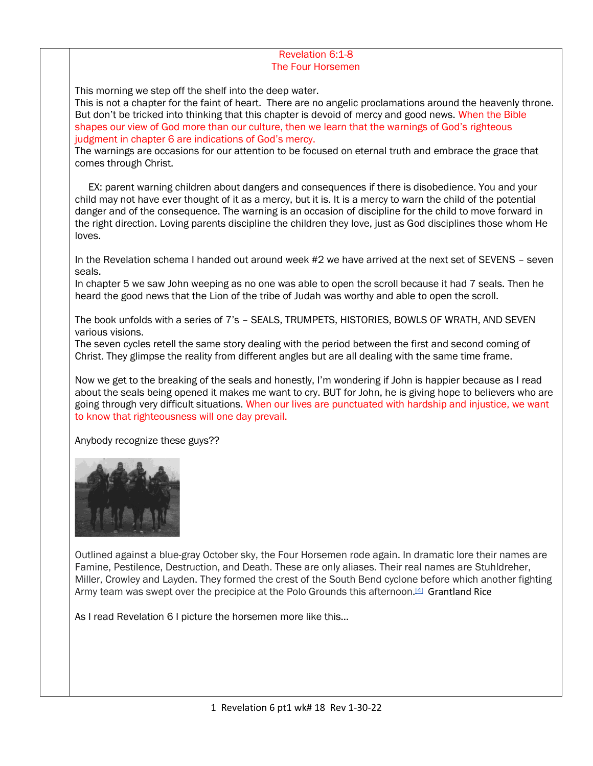## Revelation 6:1-8 The Four Horsemen

This morning we step off the shelf into the deep water.

This is not a chapter for the faint of heart. There are no angelic proclamations around the heavenly throne. But don't be tricked into thinking that this chapter is devoid of mercy and good news. When the Bible shapes our view of God more than our culture, then we learn that the warnings of God's righteous judgment in chapter 6 are indications of God's mercy.

The warnings are occasions for our attention to be focused on eternal truth and embrace the grace that comes through Christ.

 EX: parent warning children about dangers and consequences if there is disobedience. You and your child may not have ever thought of it as a mercy, but it is. It is a mercy to warn the child of the potential danger and of the consequence. The warning is an occasion of discipline for the child to move forward in the right direction. Loving parents discipline the children they love, just as God disciplines those whom He loves.

In the Revelation schema I handed out around week #2 we have arrived at the next set of SEVENS – seven seals.

In chapter 5 we saw John weeping as no one was able to open the scroll because it had 7 seals. Then he heard the good news that the Lion of the tribe of Judah was worthy and able to open the scroll.

The book unfolds with a series of 7's – SEALS, TRUMPETS, HISTORIES, BOWLS OF WRATH, AND SEVEN various visions.

The seven cycles retell the same story dealing with the period between the first and second coming of Christ. They glimpse the reality from different angles but are all dealing with the same time frame.

Now we get to the breaking of the seals and honestly, I'm wondering if John is happier because as I read about the seals being opened it makes me want to cry. BUT for John, he is giving hope to believers who are going through very difficult situations. When our lives are punctuated with hardship and injustice, we want to know that righteousness will one day prevail.

Anybody recognize these guys??



Outlined against a blue-gray October sky, the Four Horsemen rode again. In dramatic lore their names are Famine, Pestilence, Destruction, and Death. These are only aliases. Their real names are Stuhldreher, Miller, Crowley and Layden. They formed the crest of the South Bend cyclone before which another fighting Army team was swept over the precipice at the Polo Grounds this afternoon.<sup>[\[4\]](https://en.wikipedia.org/wiki/Four_Horsemen_(American_football)#cite_note-Sperber-4)</sup> Grantland Rice

As I read Revelation 6 I picture the horsemen more like this…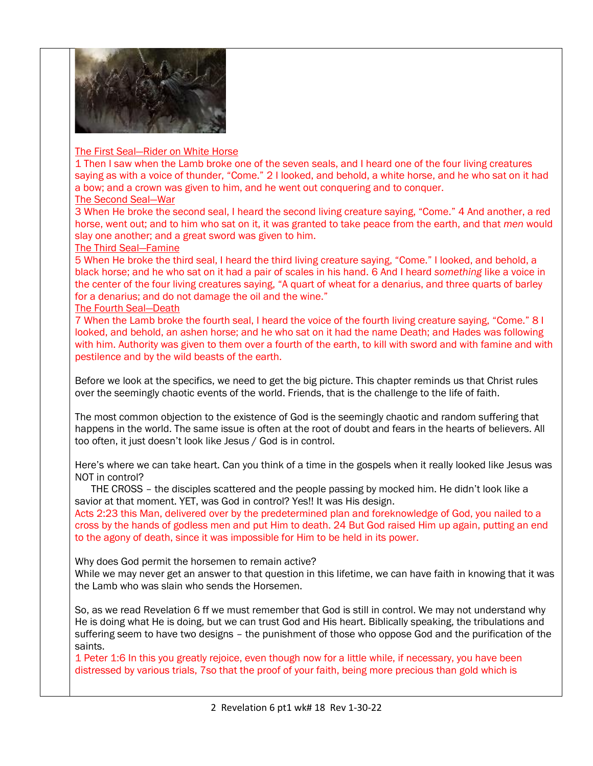

# The First Seal—Rider on White Horse

1 Then I saw when the Lamb broke one of the seven seals, and I heard one of the four living creatures saying as with a voice of thunder, "Come." 2 I looked, and behold, a white horse, and he who sat on it had a bow; and a crown was given to him, and he went out conquering and to conquer.

# The Second Seal—War

3 When He broke the second seal, I heard the second living creature saying, "Come." 4 And another, a red horse, went out; and to him who sat on it, it was granted to take peace from the earth, and that *men* would slay one another; and a great sword was given to him.

# The Third Seal—Famine

5 When He broke the third seal, I heard the third living creature saying, "Come." I looked, and behold, a black horse; and he who sat on it had a pair of scales in his hand. 6 And I heard *something* like a voice in the center of the four living creatures saying, "A quart of wheat for a denarius, and three quarts of barley for a denarius; and do not damage the oil and the wine."

# The Fourth Seal—Death

7 When the Lamb broke the fourth seal, I heard the voice of the fourth living creature saying, "Come." 8 I looked, and behold, an ashen horse; and he who sat on it had the name Death; and Hades was following with him. Authority was given to them over a fourth of the earth, to kill with sword and with famine and with pestilence and by the wild beasts of the earth.

Before we look at the specifics, we need to get the big picture. This chapter reminds us that Christ rules over the seemingly chaotic events of the world. Friends, that is the challenge to the life of faith.

The most common objection to the existence of God is the seemingly chaotic and random suffering that happens in the world. The same issue is often at the root of doubt and fears in the hearts of believers. All too often, it just doesn't look like Jesus / God is in control.

Here's where we can take heart. Can you think of a time in the gospels when it really looked like Jesus was NOT in control?

 THE CROSS – the disciples scattered and the people passing by mocked him. He didn't look like a savior at that moment. YET, was God in control? Yes!! It was His design.

Acts 2:23 this Man, delivered over by the predetermined plan and foreknowledge of God, you nailed to a cross by the hands of godless men and put Him to death. 24 But God raised Him up again, putting an end to the agony of death, since it was impossible for Him to be held in its power.

Why does God permit the horsemen to remain active?

While we may never get an answer to that question in this lifetime, we can have faith in knowing that it was the Lamb who was slain who sends the Horsemen.

So, as we read Revelation 6 ff we must remember that God is still in control. We may not understand why He is doing what He is doing, but we can trust God and His heart. Biblically speaking, the tribulations and suffering seem to have two designs – the punishment of those who oppose God and the purification of the saints.

1 Peter 1:6 In this you greatly rejoice, even though now for a little while, if necessary, you have been distressed by various trials, 7so that the proof of your faith, being more precious than gold which is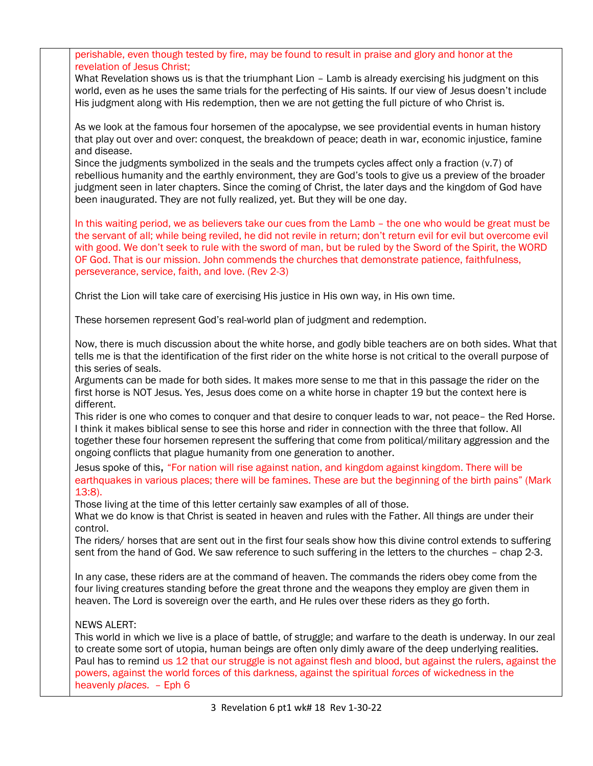|                                       | perishable, even though tested by fire, may be found to result in praise and glory and honor at the<br>revelation of Jesus Christ;                                                                                                                                                                                                                                                                                                                                                                       |
|---------------------------------------|----------------------------------------------------------------------------------------------------------------------------------------------------------------------------------------------------------------------------------------------------------------------------------------------------------------------------------------------------------------------------------------------------------------------------------------------------------------------------------------------------------|
|                                       | What Revelation shows us is that the triumphant Lion - Lamb is already exercising his judgment on this<br>world, even as he uses the same trials for the perfecting of His saints. If our view of Jesus doesn't include<br>His judgment along with His redemption, then we are not getting the full picture of who Christ is.                                                                                                                                                                            |
|                                       | As we look at the famous four horsemen of the apocalypse, we see providential events in human history<br>that play out over and over: conquest, the breakdown of peace; death in war, economic injustice, famine<br>and disease.                                                                                                                                                                                                                                                                         |
|                                       | Since the judgments symbolized in the seals and the trumpets cycles affect only a fraction (v.7) of<br>rebellious humanity and the earthly environment, they are God's tools to give us a preview of the broader<br>judgment seen in later chapters. Since the coming of Christ, the later days and the kingdom of God have<br>been inaugurated. They are not fully realized, yet. But they will be one day.                                                                                             |
|                                       | In this waiting period, we as believers take our cues from the Lamb - the one who would be great must be<br>the servant of all; while being reviled, he did not revile in return; don't return evil for evil but overcome evil<br>with good. We don't seek to rule with the sword of man, but be ruled by the Sword of the Spirit, the WORD<br>OF God. That is our mission. John commends the churches that demonstrate patience, faithfulness,<br>perseverance, service, faith, and love. (Rev 2-3)     |
|                                       | Christ the Lion will take care of exercising His justice in His own way, in His own time.                                                                                                                                                                                                                                                                                                                                                                                                                |
|                                       | These horsemen represent God's real-world plan of judgment and redemption.                                                                                                                                                                                                                                                                                                                                                                                                                               |
|                                       | Now, there is much discussion about the white horse, and godly bible teachers are on both sides. What that<br>tells me is that the identification of the first rider on the white horse is not critical to the overall purpose of<br>this series of seals.                                                                                                                                                                                                                                               |
|                                       | Arguments can be made for both sides. It makes more sense to me that in this passage the rider on the<br>first horse is NOT Jesus. Yes, Jesus does come on a white horse in chapter 19 but the context here is<br>different.                                                                                                                                                                                                                                                                             |
|                                       | This rider is one who comes to conquer and that desire to conquer leads to war, not peace- the Red Horse.<br>I think it makes biblical sense to see this horse and rider in connection with the three that follow. All<br>together these four horsemen represent the suffering that come from political/military aggression and the<br>ongoing conflicts that plague humanity from one generation to another.                                                                                            |
|                                       | Jesus spoke of this, "For nation will rise against nation, and kingdom against kingdom. There will be<br>earthquakes in various places; there will be famines. These are but the beginning of the birth pains" (Mark<br>$13:8$ ).                                                                                                                                                                                                                                                                        |
|                                       | Those living at the time of this letter certainly saw examples of all of those.<br>What we do know is that Christ is seated in heaven and rules with the Father. All things are under their<br>control.                                                                                                                                                                                                                                                                                                  |
|                                       | The riders/ horses that are sent out in the first four seals show how this divine control extends to suffering<br>sent from the hand of God. We saw reference to such suffering in the letters to the churches - chap 2-3.                                                                                                                                                                                                                                                                               |
|                                       | In any case, these riders are at the command of heaven. The commands the riders obey come from the<br>four living creatures standing before the great throne and the weapons they employ are given them in<br>heaven. The Lord is sovereign over the earth, and He rules over these riders as they go forth.                                                                                                                                                                                             |
|                                       | <b>NEWS ALERT:</b><br>This world in which we live is a place of battle, of struggle; and warfare to the death is underway. In our zeal<br>to create some sort of utopia, human beings are often only dimly aware of the deep underlying realities.<br>Paul has to remind us 12 that our struggle is not against flesh and blood, but against the rulers, against the<br>powers, against the world forces of this darkness, against the spiritual forces of wickedness in the<br>heavenly places. - Eph 6 |
| 3 Revelation 6 pt1 wk# 18 Rev 1-30-22 |                                                                                                                                                                                                                                                                                                                                                                                                                                                                                                          |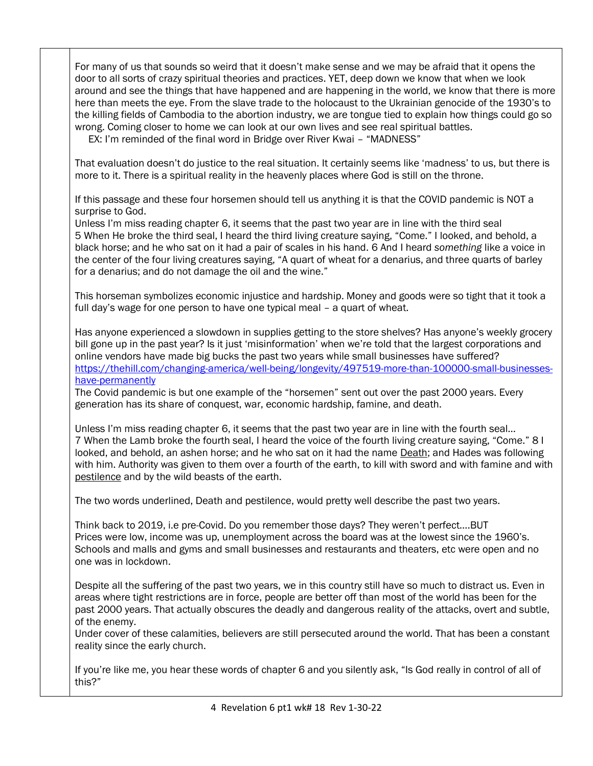For many of us that sounds so weird that it doesn't make sense and we may be afraid that it opens the door to all sorts of crazy spiritual theories and practices. YET, deep down we know that when we look around and see the things that have happened and are happening in the world, we know that there is more here than meets the eye. From the slave trade to the holocaust to the Ukrainian genocide of the 1930's to the killing fields of Cambodia to the abortion industry, we are tongue tied to explain how things could go so wrong. Coming closer to home we can look at our own lives and see real spiritual battles. EX: I'm reminded of the final word in Bridge over River Kwai – "MADNESS"

That evaluation doesn't do justice to the real situation. It certainly seems like 'madness' to us, but there is more to it. There is a spiritual reality in the heavenly places where God is still on the throne.

If this passage and these four horsemen should tell us anything it is that the COVID pandemic is NOT a surprise to God.

Unless I'm miss reading chapter 6, it seems that the past two year are in line with the third seal 5 When He broke the third seal, I heard the third living creature saying, "Come." I looked, and behold, a black horse; and he who sat on it had a pair of scales in his hand. 6 And I heard *something* like a voice in the center of the four living creatures saying, "A quart of wheat for a denarius, and three quarts of barley for a denarius; and do not damage the oil and the wine."

This horseman symbolizes economic injustice and hardship. Money and goods were so tight that it took a full day's wage for one person to have one typical meal – a quart of wheat.

Has anyone experienced a slowdown in supplies getting to the store shelves? Has anyone's weekly grocery bill gone up in the past year? Is it just 'misinformation' when we're told that the largest corporations and online vendors have made big bucks the past two years while small businesses have suffered? [https://thehill.com/changing-america/well-being/longevity/497519-more-than-100000-small-businesses](https://thehill.com/changing-america/well-being/longevity/497519-more-than-100000-small-businesses-have-permanently)[have-permanently](https://thehill.com/changing-america/well-being/longevity/497519-more-than-100000-small-businesses-have-permanently)

The Covid pandemic is but one example of the "horsemen" sent out over the past 2000 years. Every generation has its share of conquest, war, economic hardship, famine, and death.

Unless I'm miss reading chapter 6, it seems that the past two year are in line with the fourth seal… 7 When the Lamb broke the fourth seal, I heard the voice of the fourth living creature saying, "Come." 8 I looked, and behold, an ashen horse; and he who sat on it had the name Death; and Hades was following with him. Authority was given to them over a fourth of the earth, to kill with sword and with famine and with pestilence and by the wild beasts of the earth.

The two words underlined, Death and pestilence, would pretty well describe the past two years.

Think back to 2019, i.e pre-Covid. Do you remember those days? They weren't perfect….BUT Prices were low, income was up, unemployment across the board was at the lowest since the 1960's. Schools and malls and gyms and small businesses and restaurants and theaters, etc were open and no one was in lockdown.

Despite all the suffering of the past two years, we in this country still have so much to distract us. Even in areas where tight restrictions are in force, people are better off than most of the world has been for the past 2000 years. That actually obscures the deadly and dangerous reality of the attacks, overt and subtle, of the enemy.

Under cover of these calamities, believers are still persecuted around the world. That has been a constant reality since the early church.

If you're like me, you hear these words of chapter 6 and you silently ask, "Is God really in control of all of this?"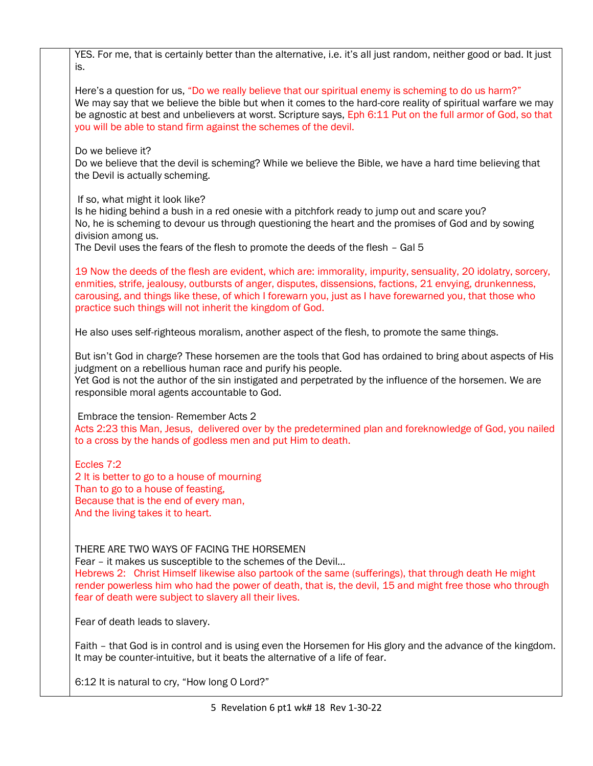YES. For me, that is certainly better than the alternative, i.e. it's all just random, neither good or bad. It just is. Here's a question for us, "Do we really believe that our spiritual enemy is scheming to do us harm?" We may say that we believe the bible but when it comes to the hard-core reality of spiritual warfare we may be agnostic at best and unbelievers at worst. Scripture says, Eph 6:11 Put on the full armor of God, so that you will be able to stand firm against the schemes of the devil. Do we believe it? Do we believe that the devil is scheming? While we believe the Bible, we have a hard time believing that the Devil is actually scheming. If so, what might it look like? Is he hiding behind a bush in a red onesie with a pitchfork ready to jump out and scare you? No, he is scheming to devour us through questioning the heart and the promises of God and by sowing division among us. The Devil uses the fears of the flesh to promote the deeds of the flesh – Gal 5 19 Now the deeds of the flesh are evident, which are: immorality, impurity, sensuality, 20 idolatry, sorcery, enmities, strife, jealousy, outbursts of anger, disputes, dissensions, factions, 21 envying, drunkenness, carousing, and things like these, of which I forewarn you, just as I have forewarned you, that those who practice such things will not inherit the kingdom of God. He also uses self-righteous moralism, another aspect of the flesh, to promote the same things. But isn't God in charge? These horsemen are the tools that God has ordained to bring about aspects of His judgment on a rebellious human race and purify his people. Yet God is not the author of the sin instigated and perpetrated by the influence of the horsemen. We are responsible moral agents accountable to God. Embrace the tension- Remember Acts 2 Acts 2:23 this Man, Jesus, delivered over by the predetermined plan and foreknowledge of God, you nailed to a cross by the hands of godless men and put Him to death. Eccles 7:2 2 It is better to go to a house of mourning Than to go to a house of feasting, Because that is the end of every man, And the living takes it to heart. THERE ARE TWO WAYS OF FACING THE HORSEMEN Fear – it makes us susceptible to the schemes of the Devil… Hebrews 2: Christ Himself likewise also partook of the same (sufferings), that through death He might render powerless him who had the power of death, that is, the devil, 15 and might free those who through fear of death were subject to slavery all their lives. Fear of death leads to slavery.

Faith – that God is in control and is using even the Horsemen for His glory and the advance of the kingdom. It may be counter-intuitive, but it beats the alternative of a life of fear.

6:12 It is natural to cry, "How long O Lord?"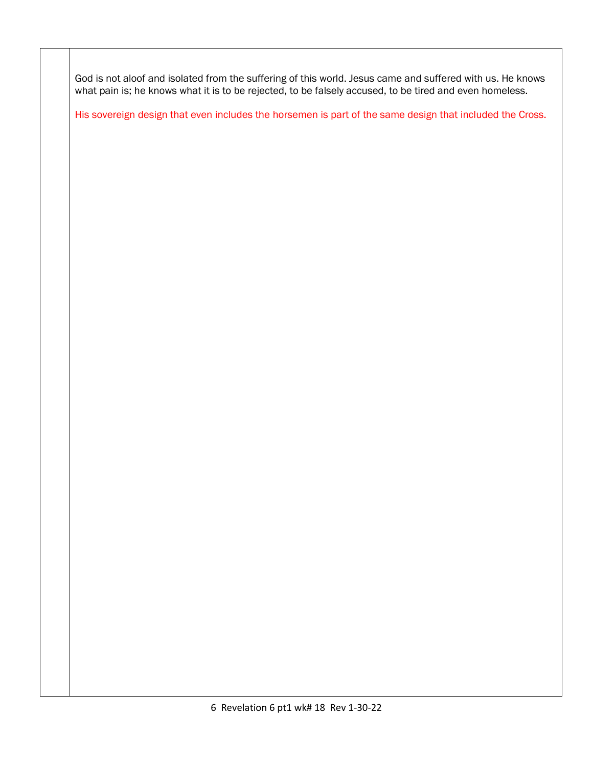God is not aloof and isolated from the suffering of this world. Jesus came and suffered with us. He knows what pain is; he knows what it is to be rejected, to be falsely accused, to be tired and even homeless.

His sovereign design that even includes the horsemen is part of the same design that included the Cross.